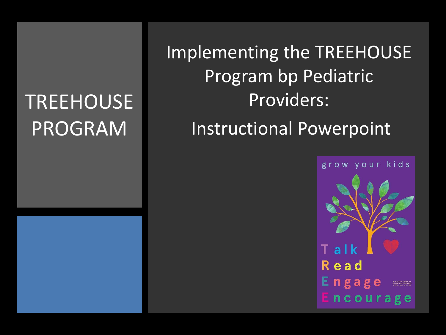### **TREEHOUSE** PROGRAM

Implementing the TREEHOUSE Program bp Pediatric Providers: Instructional Powerpoint

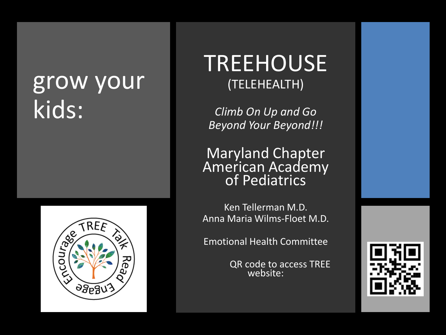### grow your kids:



### TREEHOUSE (TELEHEALTH)

*Climb On Up and Go Beyond Your Beyond!!!*

Maryland Chapter American Academy of Pediatrics

Ken Tellerman M.D. Anna Maria Wilms-Floet M.D.

Emotional Health Committee

QR code to access TREE website:

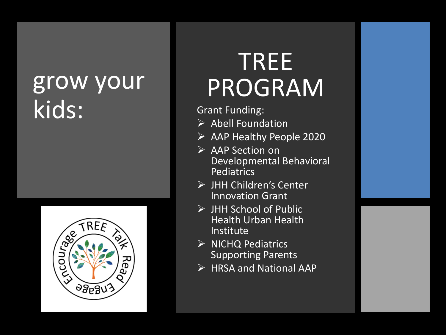### grow your kids:



## TREE PROGRAM

Grant Funding:

- $\triangleright$  Abell Foundation
- ➢ AAP Healthy People 2020
- ➢ AAP Section on Developmental Behavioral Pediatrics
- ➢ JHH Children's Center Innovation Grant
- ➢ JHH School of Public Health Urban Health Institute
- ➢ NICHQ Pediatrics Supporting Parents
- ➢ HRSA and National AAP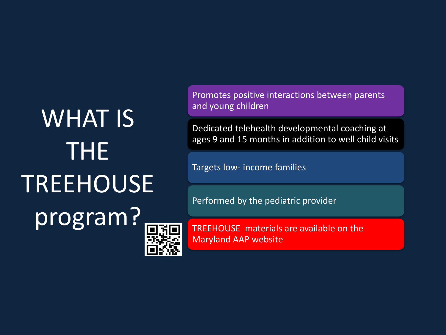# WHAT IS THE TREEHOUSE program?



Promotes positive interactions between parents and young children

Dedicated telehealth developmental coaching at ages 9 and 15 months in addition to well child visits

Targets low- income families

Performed by the pediatric provider

TREEHOUSE materials are available on the Maryland AAP website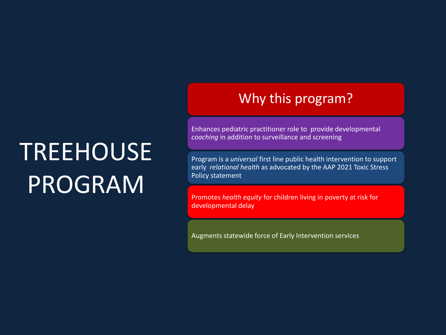## **TREEHOUSE** PROGRAM

#### Why this program?

Enhances pediatric practitioner role to provide developmental *coaching* in addition to surveillance and screening

Program is a *universal* first line public health intervention to support early *relational health* as advocated by the AAP 2021 Toxic Stress Policy statement

Promotes *health equity* for children living in poverty at risk for developmental delay

Augments statewide force of Early Intervention services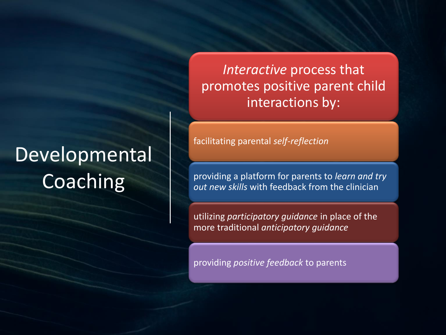### **Developmental Coaching**

*Interactive* process that promotes positive parent child interactions by:

facilitating parental *self-reflection*

providing a platform for parents to *learn and try out new skills* with feedback from the clinician

utilizing *participatory guidance* in place of the more traditional *anticipatory guidance*

providing *positive feedback* to parents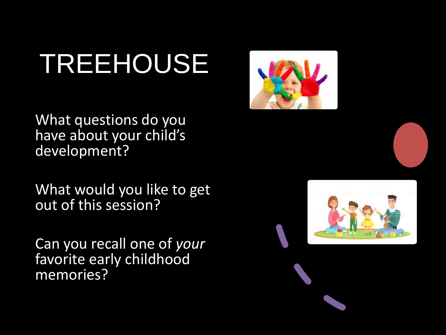What questions do you have about your child's development?

What would you like to get out of this session?

Can you recall one of *your* favorite early childhood memories?



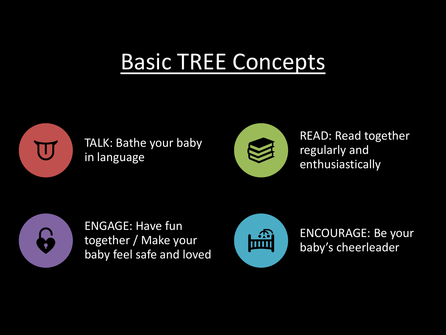### Basic TREE Concepts



TALK: Bathe your baby in language



READ: Read together regularly and enthusiastically



ENGAGE: Have fun together / Make your baby feel safe and loved



ENCOURAGE: Be your baby's cheerleader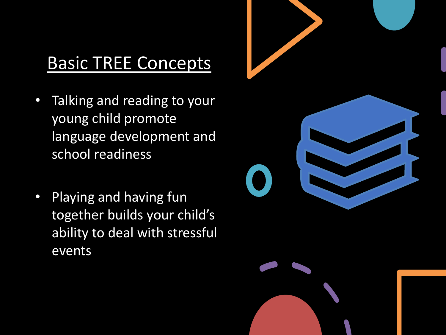### Basic TREE Concepts

- Talking and reading to your young child promote language development and school readiness
- Playing and having fun together builds your child's ability to deal with stressful events



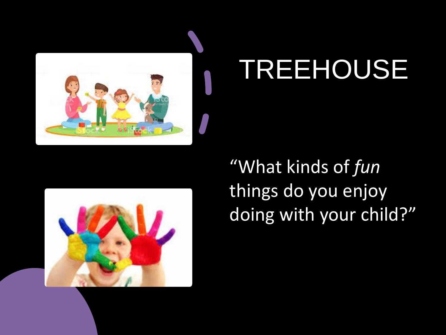



"What kinds of *fun* things do you enjoy doing with your child?"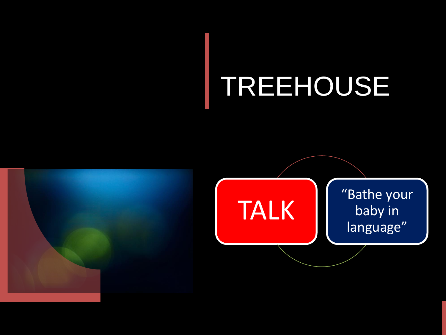

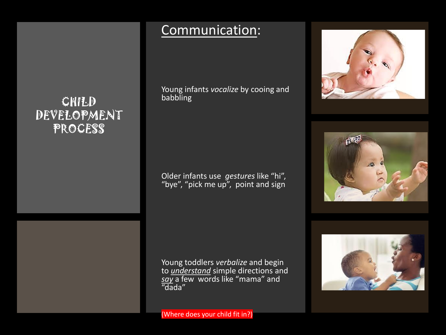#### CHILD DEVELOPMENT **PROCESS**

#### Communication:

Young infants *vocalize* by cooing and babbling

Older infants use *gestures* like "hi", "bye", "pick me up", point and sign

Young toddlers *verbalize* and begin to *understand* simple directions and *say* a few words like "mama" and "dada"

#### (Where does your child fit in?)





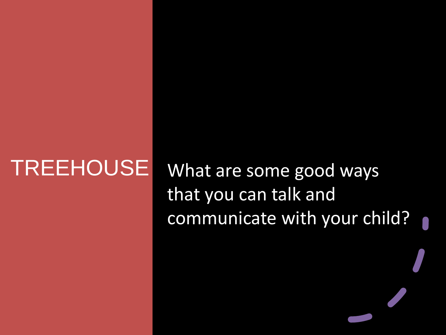TREEHOUSE What are some good ways that you can talk and communicate with your child?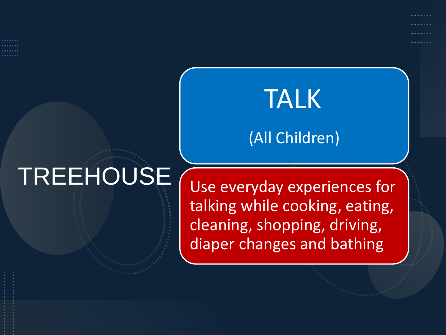TALK

### (All Children)

Use everyday experiences for talking while cooking, eating, cleaning, shopping, driving, diaper changes and bathing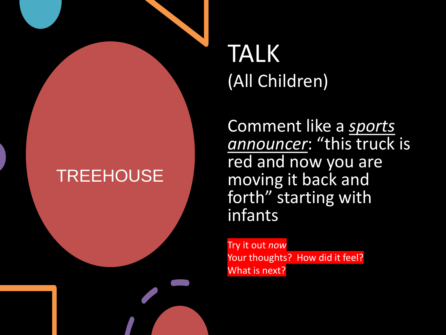### TALK (All Children)

Comment like a *sports announcer*: "this truck is red and now you are moving it back and forth" starting with infants

Try it out *now* Your thoughts? How did it feel? What is next?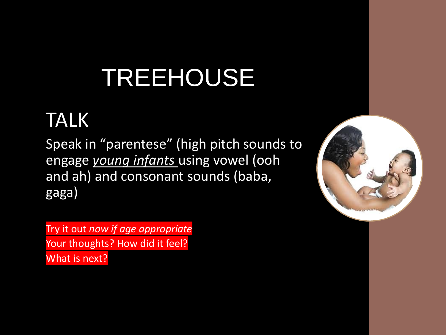### TALK

Speak in "parentese" (high pitch sounds to engage *young infants* using vowel (ooh and ah) and consonant sounds (baba, gaga)

Try it out *now if age appropriate* Your thoughts? How did it feel? What is next?

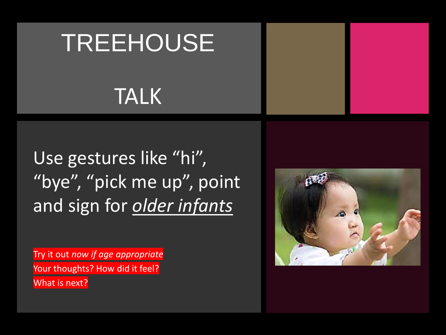### TALK

Use gestures like "hi", "bye", "pick me up", point and sign for *older infants*

Try it out *now if age appropriate* Your thoughts? How did it feel? What is next?

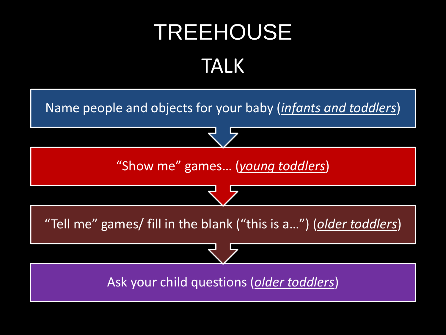## TREEHOUSE TALK

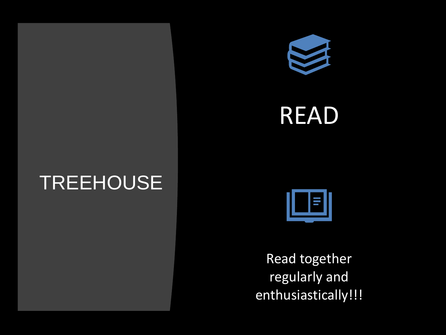





Read together regularly and enthusiastically!!!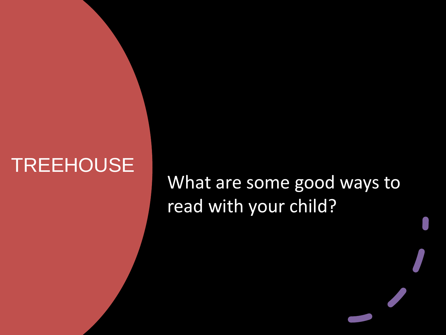### What are some good ways to read with your child?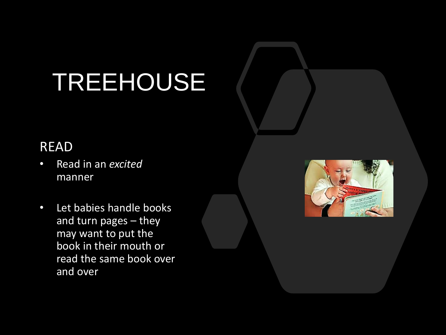#### READ

- Read in an *excited*  manner
- Let babies handle books and turn pages – they may want to put the book in their mouth or read the same book over and over

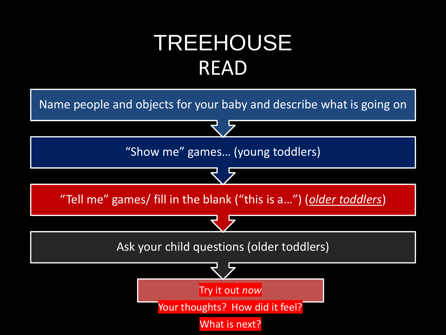### TREEHOUSE READ

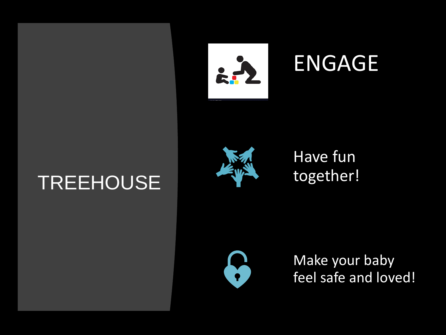





### Have fun together!



Make your baby feel safe and loved!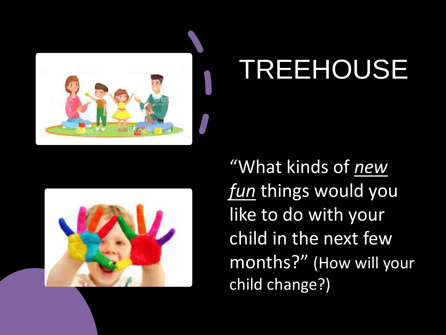



"What kinds of *new fun* things would you like to do with your child in the next few months?" (How will your child change?)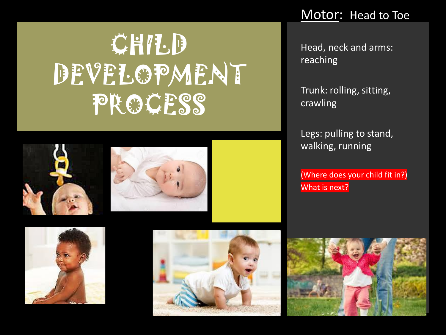## **CHILD** DEVELOPMENT PROCESS







Head, neck and arms: reaching

Trunk: rolling, sitting, crawling

Legs: pulling to stand, walking, running

(Where does your child fit in?) What is next?





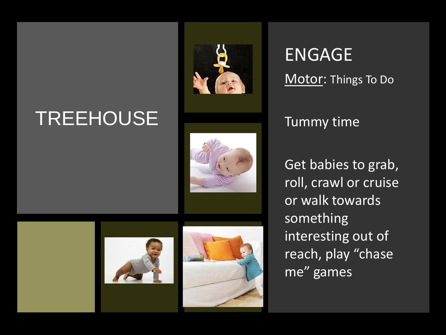





ENGAGE Motor: Things To Do

#### Tummy time

Get babies to grab, roll, crawl or cruise or walk towards something interesting out of reach, play "chase me" games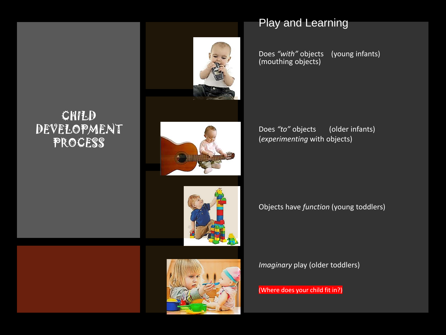#### CHILD DEVELOPMENT PROCESS

Does *"to"* objects (older infants) (*experimenting* with objects)

Does *"with"* objects (young infants)

#### Objects have *function* (young toddlers)

*Imaginary* play (older toddlers)

(Where does your child fit in?)





(mouthing objects)

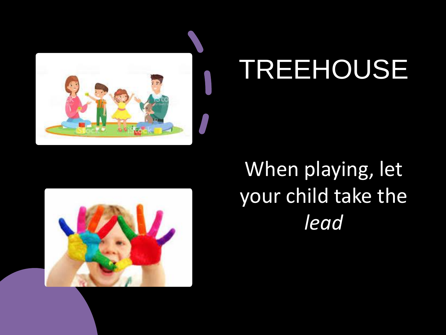

### When playing, let your child take the *lead*

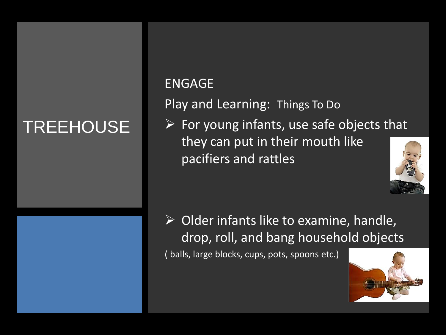#### ENGAGE

Play and Learning: Things To Do

 $\triangleright$  For young infants, use safe objects that they can put in their mouth like pacifiers and rattles



 $\triangleright$  Older infants like to examine, handle, drop, roll, and bang household objects

( balls, large blocks, cups, pots, spoons etc.)

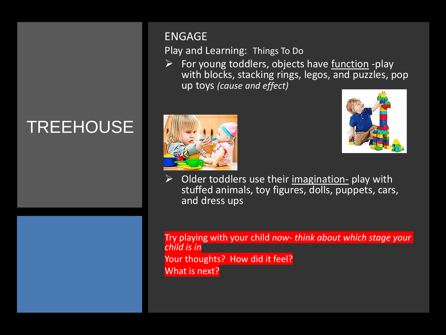#### ENGAGE

Play and Learning: Things To Do

 $\triangleright$  For young toddlers, objects have <u>function</u> -play with blocks, stacking rings, legos, and puzzles, pop up toys *(cause and effect)*





Older toddlers use their imagination- play with stuffed animals, toy figures, dolls, puppets, cars, and dress ups

Try playing with your child *now- think about which stage your child is in* Your thoughts? How did it feel? What is next?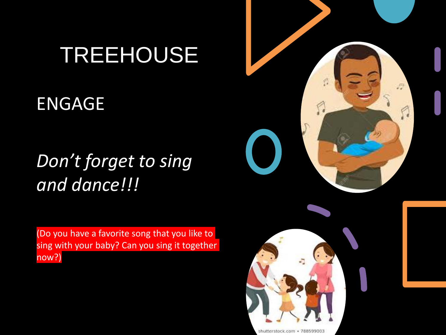### ENGAGE

### *Don't forget to sing and dance!!!*

(Do you have a favorite song that you like to sing with your baby? Can you sing it together now?)





shutterstock.com · 78859900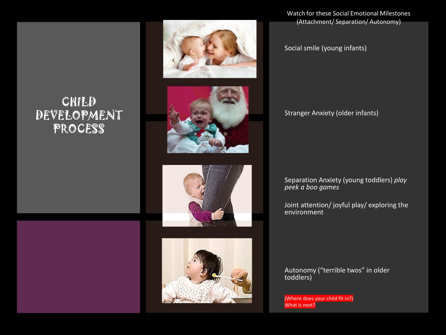#### CHILD DEVELOPMENT PROCESS



Watch for these Social Emotional Milestones (Attachment/ Separation/ Autonomy)

Social smile (young infants)

Stranger Anxiety (older infants)

Separation Anxiety (young toddlers) *play peek a boo games*

Joint attention/ joyful play/ exploring the environment

Autonomy ("terrible twos" in older toddlers)

(Where does your child fit in?) What is next?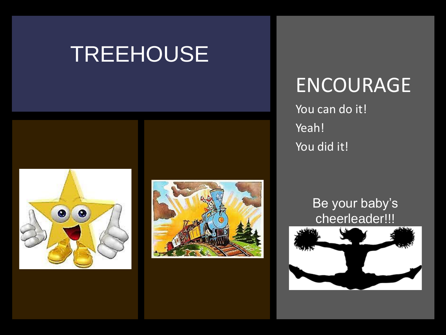



### ENCOURAGE

You can do it! Yeah! You did it!

#### Be your baby's cheerleader!!!

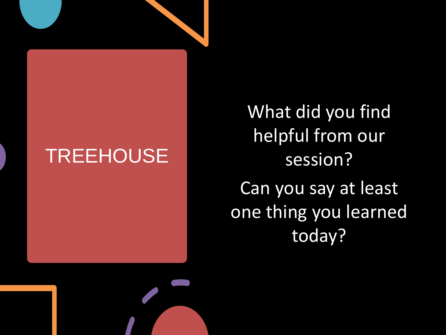What did you find helpful from our session? Can you say at least one thing you learned today?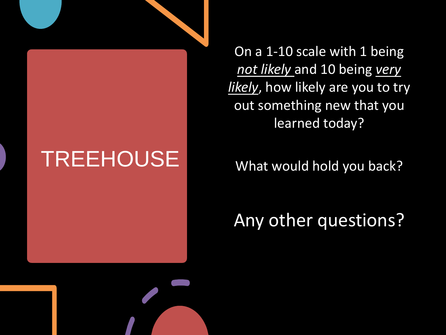On a 1-10 scale with 1 being *not likely* and 10 being *very likely*, how likely are you to try out something new that you learned today?

What would hold you back?

Any other questions?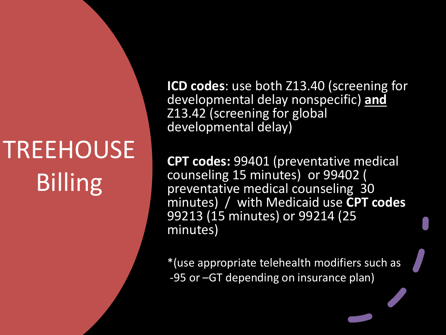## **TREEHOUSE** Billing

**ICD codes**: use both Z13.40 (screening for developmental delay nonspecific) **and**  Z13.42 (screening for global developmental delay)

**CPT codes:** 99401 (preventative medical counseling 15 minutes) or 99402 ( preventative medical counseling 30 minutes) / with Medicaid use **CPT codes** 99213 (15 minutes) or 99214 (25 minutes)

\*(use appropriate telehealth modifiers such as -95 or –GT depending on insurance plan)